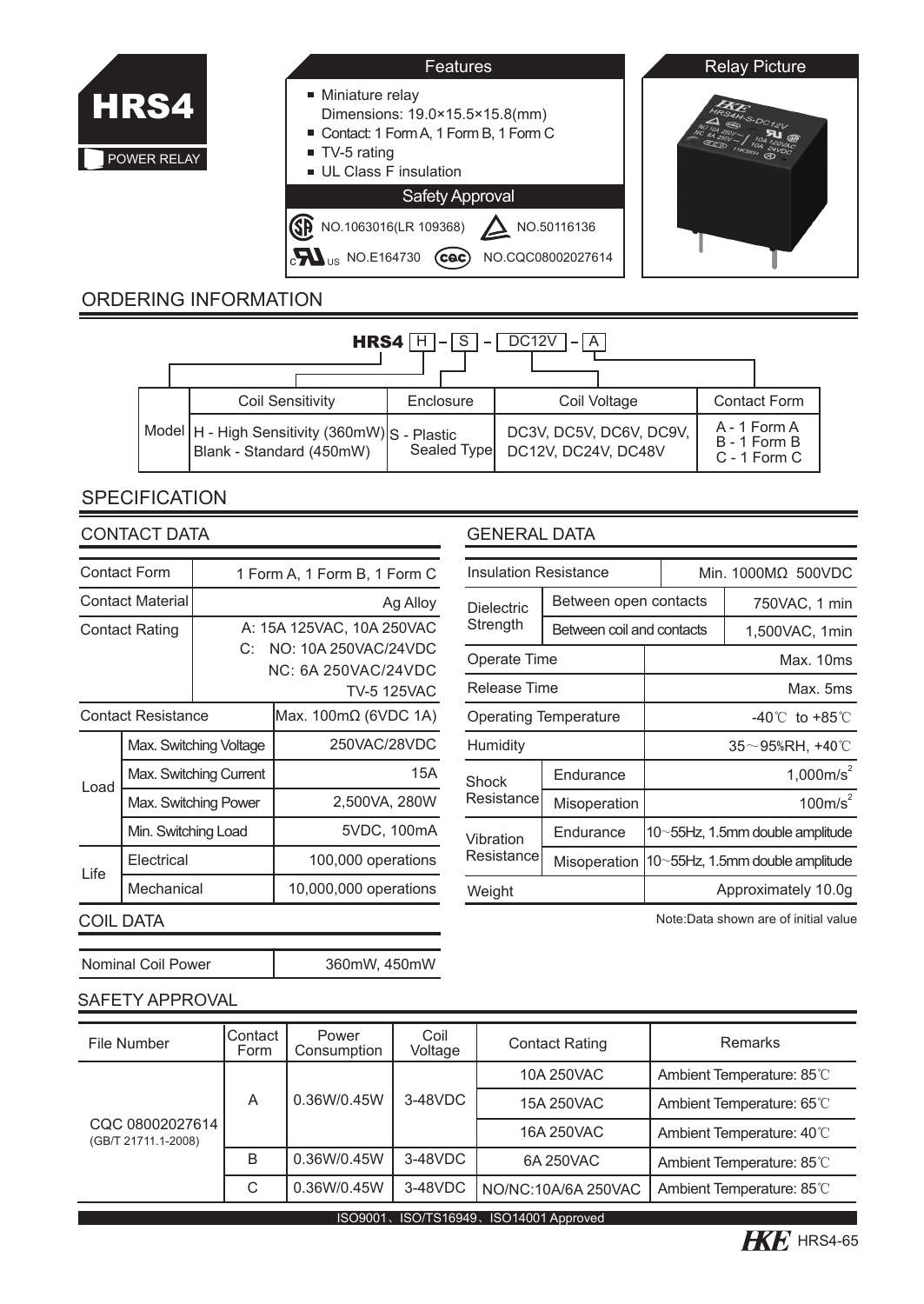

| Features                                                                                                                                          | <b>Relay Picture</b> |
|---------------------------------------------------------------------------------------------------------------------------------------------------|----------------------|
| Miniature relay<br>Dimensions: 19.0×15.5×15.8(mm)<br>Contact: 1 Form A, 1 Form B, 1 Form C<br>$\blacksquare$ TV-5 rating<br>UL Class F insulation | S4H-S-DC12V          |
| <b>Safety Approval</b>                                                                                                                            |                      |
| NO.1063016(LR 109368)<br>NO.50116136<br><sub>US</sub> NO.E164730<br>NO.CQC08002027614<br><b>CAC</b>                                               |                      |

## ORDERING INFORMATION

| DC <sub>12V</sub><br>$\overline{S}$<br>HRS4 H<br>$\overline{A}$<br>$\overline{\phantom{0}}$ |  |                                                                              |  |             |  |                                                |  |  |                                                  |
|---------------------------------------------------------------------------------------------|--|------------------------------------------------------------------------------|--|-------------|--|------------------------------------------------|--|--|--------------------------------------------------|
|                                                                                             |  | <b>Coil Sensitivity</b>                                                      |  | Enclosure   |  | Coil Voltage                                   |  |  | <b>Contact Form</b>                              |
|                                                                                             |  | Model   H - High Sensitivity (360mW) S - Plastic<br>Blank - Standard (450mW) |  | Sealed Type |  | DC3V, DC5V, DC6V, DC9V,<br>DC12V. DC24V. DC48V |  |  | A - 1 Form A<br>B - 1 Form B<br>$C - 1$ Form $C$ |

## **SPECIFICATION**

| <b>Contact Form</b>         |                     | 1 Form A, 1 Form B, 1 Form C |                                                                                                |  |  |  |
|-----------------------------|---------------------|------------------------------|------------------------------------------------------------------------------------------------|--|--|--|
| <b>Contact Material</b>     |                     |                              | Ag Alloy                                                                                       |  |  |  |
| <b>Contact Rating</b><br>C: |                     |                              | A: 15A 125VAC, 10A 250VAC<br>NO: 10A 250VAC/24VDC<br>NC: 6A 250VAC/24VDC<br><b>TV-5 125VAC</b> |  |  |  |
| <b>Contact Resistance</b>   |                     |                              | Max. 100mΩ (6VDC 1A)                                                                           |  |  |  |
|                             |                     | Max. Switching Voltage       | 250VAC/28VDC                                                                                   |  |  |  |
| Load                        |                     | Max. Switching Current       | 15A                                                                                            |  |  |  |
|                             |                     | Max. Switching Power         | 2,500VA, 280W                                                                                  |  |  |  |
|                             | Min. Switching Load |                              | 5VDC, 100mA                                                                                    |  |  |  |
| Life                        | Electrical          |                              | 100,000 operations                                                                             |  |  |  |
|                             | Mechanical          |                              | 10,000,000 operations                                                                          |  |  |  |
|                             | COIL DATA           |                              |                                                                                                |  |  |  |

#### CONTACT DATA GENERAL DATA

| <b>Insulation Resistance</b>  |                           |                                 | Min. 1000MΩ 500VDC |                                 |  |
|-------------------------------|---------------------------|---------------------------------|--------------------|---------------------------------|--|
| <b>Dielectric</b><br>Strength | Between open contacts     |                                 |                    | 750VAC, 1 min                   |  |
|                               | Between coil and contacts |                                 |                    | 1,500VAC, 1min                  |  |
| Operate Time                  |                           |                                 | Max. 10ms          |                                 |  |
| Release Time                  |                           | Max. 5ms                        |                    |                                 |  |
| <b>Operating Temperature</b>  |                           | $-40^{\circ}$ to $+85^{\circ}$  |                    |                                 |  |
| Humidity                      |                           |                                 | 35~95%RH, +40℃     |                                 |  |
| Shock                         | Endurance                 | 1,000m/s <sup>2</sup>           |                    |                                 |  |
| Resistance                    | Misoperation              | 100m/s <sup>2</sup>             |                    |                                 |  |
| Vibration<br>Resistance       | Endurance                 | 10~55Hz, 1.5mm double amplitude |                    |                                 |  |
|                               | Misoperation              |                                 |                    | 10~55Hz, 1.5mm double amplitude |  |
| Weight                        |                           | Approximately 10.0q             |                    |                                 |  |

Note:Data shown are of initial value

# Nominal Coil Power SAFETY APPROVAL

| File Number                               | Contact<br>Form | Power<br>Consumption | Coil<br>Voltage | <b>Contact Rating</b> | Remarks                   |  |  |  |
|-------------------------------------------|-----------------|----------------------|-----------------|-----------------------|---------------------------|--|--|--|
| CQC 08002027614<br>(GB/T 21711.1-2008)    |                 | 0.36W/0.45W          | 3-48VDC         | 10A 250VAC            | Ambient Temperature: 85°C |  |  |  |
|                                           | A               |                      |                 | 15A 250VAC            | Ambient Temperature: 65°C |  |  |  |
|                                           |                 |                      |                 | 16A 250VAC            | Ambient Temperature: 40°C |  |  |  |
|                                           | B               | 0.36W/0.45W          | 3-48VDC         | 6A 250VAC             | Ambient Temperature: 85°C |  |  |  |
|                                           | C               | 0.36W/0.45W          | 3-48VDC         | NO/NC:10A/6A 250VAC   | Ambient Temperature: 85°C |  |  |  |
| ISO/TS16949、ISO14001 Approved<br>ISO9001、 |                 |                      |                 |                       |                           |  |  |  |

360mW, 450mW

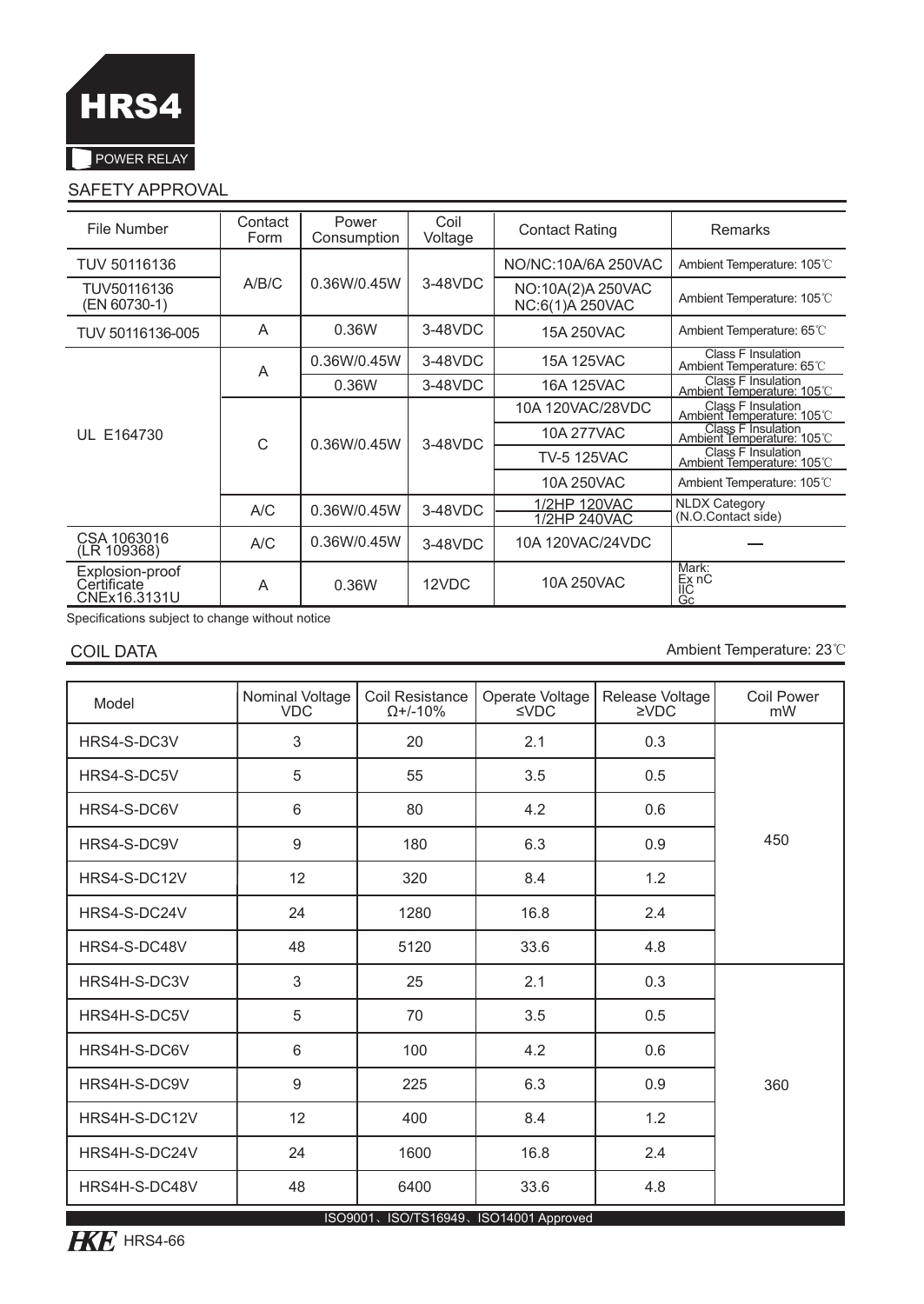

### SAFETY APPROVAL

| File Number                                    | Contact<br>Form | Power<br>Consumption | Coil<br>Voltage       | <b>Contact Rating</b>                | Remarks                                                 |  |
|------------------------------------------------|-----------------|----------------------|-----------------------|--------------------------------------|---------------------------------------------------------|--|
| TUV 50116136                                   |                 |                      |                       | NO/NC: 10A/6A 250VAC                 | Ambient Temperature: 105°C                              |  |
| TUV50116136<br>(EN 60730-1)                    | A/B/C           | 0.36W/0.45W          | 3-48VDC               | NO:10A(2)A 250VAC<br>NC:6(1)A 250VAC | Ambient Temperature: 105°C                              |  |
| TUV 50116136-005                               | A               | 0.36W                | 3-48VDC<br>15A 250VAC |                                      | Ambient Temperature: 65°C                               |  |
|                                                | A               | 0.36W/0.45W          | 3-48VDC               | 15A 125VAC                           | <b>Class F Insulation</b><br>Ambient Temperature: 65°C  |  |
|                                                |                 | 0.36W                | 3-48VDC               | 16A 125VAC                           | Class F Insulation<br>Ambient Temperature: 105°C        |  |
|                                                | C<br>A/C        | 0.36W/0.45W          | $3-48VDC$             | 10A 120VAC/28VDC                     | Class F Insulation<br>Ambient Temperature: 105°C        |  |
| UL E164730                                     |                 |                      |                       | 10A 277VAC                           | <b>Class F Insulation</b><br>Ambient Temperature: 105°C |  |
|                                                |                 |                      |                       | <b>TV-5 125VAC</b>                   | Class F Insulation<br>Ambient Temperature: 105°C        |  |
|                                                |                 |                      |                       | 10A 250VAC                           | Ambient Temperature: 105°C                              |  |
|                                                |                 | 0.36W/0.45W          | 3-48VDC               | 1/2HP 120VAC                         | <b>NLDX Category</b>                                    |  |
|                                                |                 |                      |                       | 1/2HP 240VAC                         | (N.O.Contact side)                                      |  |
| CSA 1063016<br>(LR 109368)                     | A/C             | 0.36W/0.45W          | 3-48VDC               | 10A 120VAC/24VDC                     |                                                         |  |
| Explosion-proof<br>Certificate<br>CNEx16.3131U | A               | 0.36W                | 12VDC                 | 10A 250VAC                           | Mark:<br>Ex nC<br>IIC<br>Gc                             |  |

Specifications subject to change without notice

COIL DATA Ambient Temperature: 23℃

| Model                                 | Nominal Voltage<br><b>VDC</b> | Coil Resistance<br>$Q+/-10%$ | Operate Voltage<br>$\leq$ VDC | Release Voltage<br>2VDC | Coil Power<br>mW |  |  |  |
|---------------------------------------|-------------------------------|------------------------------|-------------------------------|-------------------------|------------------|--|--|--|
| HRS4-S-DC3V                           | 3                             | 20                           | 2.1                           | 0.3                     |                  |  |  |  |
| HRS4-S-DC5V                           | 5                             | 55                           | 3.5                           | 0.5                     |                  |  |  |  |
| HRS4-S-DC6V                           | 6                             | 80                           | 4.2                           | 0.6                     |                  |  |  |  |
| HRS4-S-DC9V                           | 9                             | 180                          | 6.3                           | 0.9                     | 450              |  |  |  |
| HRS4-S-DC12V                          | 12                            | 320                          | 8.4                           | 1.2                     |                  |  |  |  |
| HRS4-S-DC24V                          | 24                            | 1280                         | 16.8                          | 2.4                     |                  |  |  |  |
| HRS4-S-DC48V                          | 48                            | 5120                         | 33.6                          | 4.8                     |                  |  |  |  |
| HRS4H-S-DC3V                          | 3                             | 25                           | 2.1                           | 0.3                     |                  |  |  |  |
| HRS4H-S-DC5V                          | 5                             | 70                           | 3.5                           | 0.5                     |                  |  |  |  |
| HRS4H-S-DC6V                          | 6                             | 100                          | 4.2                           | 0.6                     |                  |  |  |  |
| HRS4H-S-DC9V                          | 9                             | 225                          | 6.3                           | 0.9                     | 360              |  |  |  |
| HRS4H-S-DC12V                         | 12                            | 400                          | 8.4                           | 1.2                     |                  |  |  |  |
| HRS4H-S-DC24V                         | 24                            | 1600                         | 16.8                          | 2.4                     |                  |  |  |  |
| HRS4H-S-DC48V                         | 48                            | 6400                         | 33.6                          | 4.8                     |                  |  |  |  |
| ISO9001、ISO/TS16949、ISO14001 Approved |                               |                              |                               |                         |                  |  |  |  |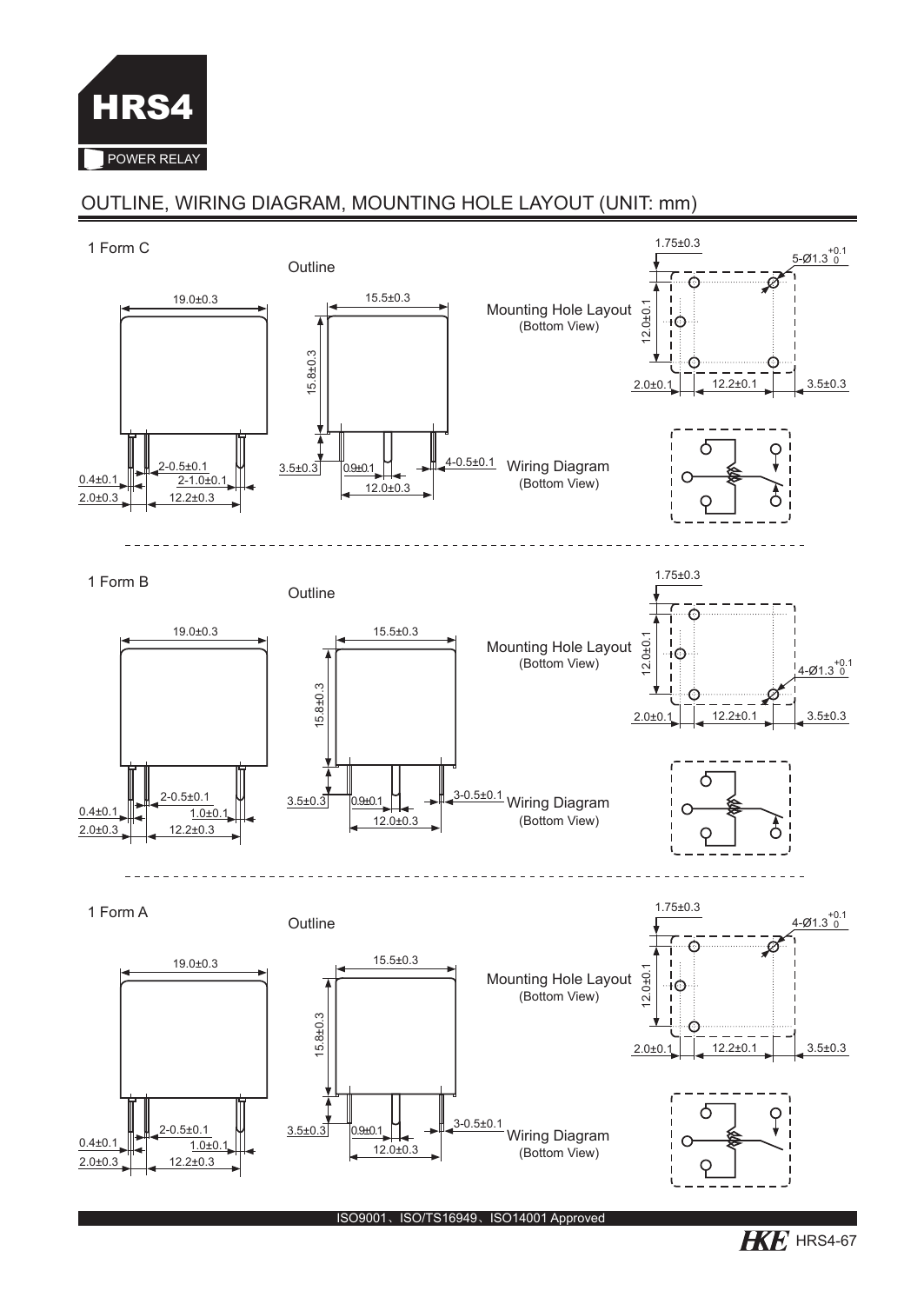

## OUTLINE, WIRING DIAGRAM, MOUNTING HOLE LAYOUT (UNIT: mm)



 $H\!\!K\!E$  HRS4-67